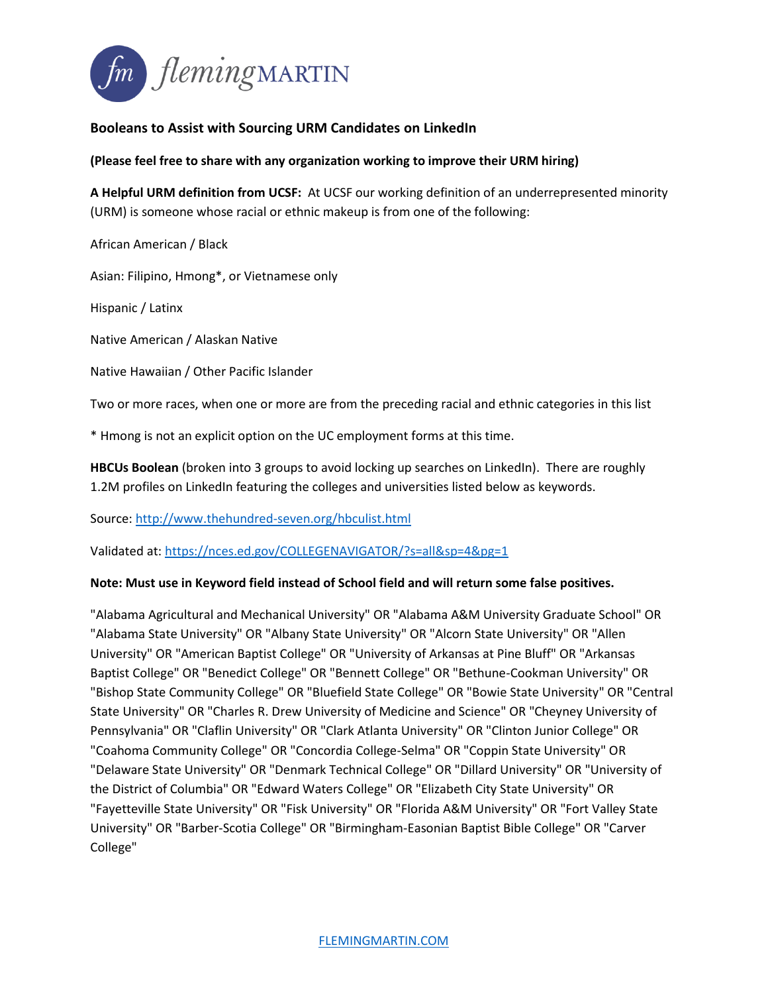

# **Booleans to Assist with Sourcing URM Candidates on LinkedIn**

# **(Please feel free to share with any organization working to improve their URM hiring)**

**A Helpful URM definition from UCSF:** At UCSF our working definition of an underrepresented minority (URM) is someone whose racial or ethnic makeup is from one of the following:

African American / Black

Asian: Filipino, Hmong\*, or Vietnamese only

Hispanic / Latinx

Native American / Alaskan Native

Native Hawaiian / Other Pacific Islander

Two or more races, when one or more are from the preceding racial and ethnic categories in this list

\* Hmong is not an explicit option on the UC employment forms at this time.

HBCUs Boolean (broken into 3 groups to avoid locking up searches on LinkedIn). There are roughly 1.2M profiles on LinkedIn featuring the colleges and universities listed below as keywords.

Source:<http://www.thehundred-seven.org/hbculist.html>

Validated at:<https://nces.ed.gov/COLLEGENAVIGATOR/?s=all&sp=4&pg=1>

### **Note: Must use in Keyword field instead of School field and will return some false positives.**

"Alabama Agricultural and Mechanical University" OR "Alabama A&M University Graduate School" OR "Alabama State University" OR "Albany State University" OR "Alcorn State University" OR "Allen University" OR "American Baptist College" OR "University of Arkansas at Pine Bluff" OR "Arkansas Baptist College" OR "Benedict College" OR "Bennett College" OR "Bethune-Cookman University" OR "Bishop State Community College" OR "Bluefield State College" OR "Bowie State University" OR "Central State University" OR "Charles R. Drew University of Medicine and Science" OR "Cheyney University of Pennsylvania" OR "Claflin University" OR "Clark Atlanta University" OR "Clinton Junior College" OR "Coahoma Community College" OR "Concordia College-Selma" OR "Coppin State University" OR "Delaware State University" OR "Denmark Technical College" OR "Dillard University" OR "University of the District of Columbia" OR "Edward Waters College" OR "Elizabeth City State University" OR "Fayetteville State University" OR "Fisk University" OR "Florida A&M University" OR "Fort Valley State University" OR "Barber-Scotia College" OR "Birmingham-Easonian Baptist Bible College" OR "Carver College"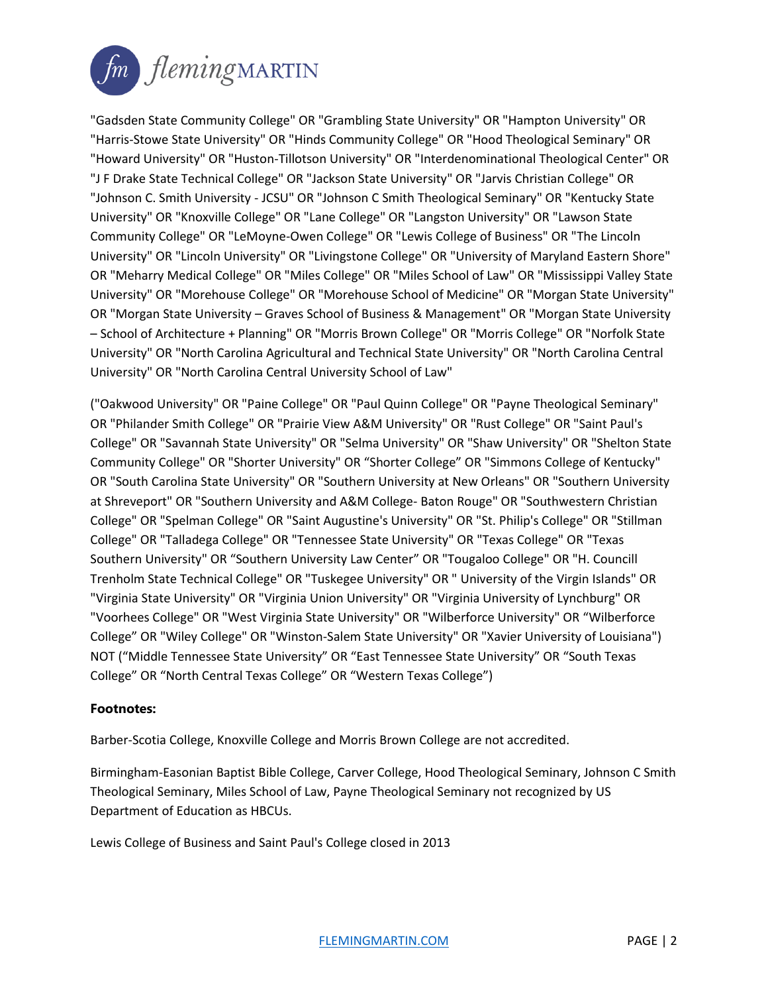

"Gadsden State Community College" OR "Grambling State University" OR "Hampton University" OR "Harris-Stowe State University" OR "Hinds Community College" OR "Hood Theological Seminary" OR "Howard University" OR "Huston-Tillotson University" OR "Interdenominational Theological Center" OR "J F Drake State Technical College" OR "Jackson State University" OR "Jarvis Christian College" OR "Johnson C. Smith University - JCSU" OR "Johnson C Smith Theological Seminary" OR "Kentucky State University" OR "Knoxville College" OR "Lane College" OR "Langston University" OR "Lawson State Community College" OR "LeMoyne-Owen College" OR "Lewis College of Business" OR "The Lincoln University" OR "Lincoln University" OR "Livingstone College" OR "University of Maryland Eastern Shore" OR "Meharry Medical College" OR "Miles College" OR "Miles School of Law" OR "Mississippi Valley State University" OR "Morehouse College" OR "Morehouse School of Medicine" OR "Morgan State University" OR "Morgan State University – Graves School of Business & Management" OR "Morgan State University – School of Architecture + Planning" OR "Morris Brown College" OR "Morris College" OR "Norfolk State University" OR "North Carolina Agricultural and Technical State University" OR "North Carolina Central University" OR "North Carolina Central University School of Law"

("Oakwood University" OR "Paine College" OR "Paul Quinn College" OR "Payne Theological Seminary" OR "Philander Smith College" OR "Prairie View A&M University" OR "Rust College" OR "Saint Paul's College" OR "Savannah State University" OR "Selma University" OR "Shaw University" OR "Shelton State Community College" OR "Shorter University" OR "Shorter College" OR "Simmons College of Kentucky" OR "South Carolina State University" OR "Southern University at New Orleans" OR "Southern University at Shreveport" OR "Southern University and A&M College- Baton Rouge" OR "Southwestern Christian College" OR "Spelman College" OR "Saint Augustine's University" OR "St. Philip's College" OR "Stillman College" OR "Talladega College" OR "Tennessee State University" OR "Texas College" OR "Texas Southern University" OR "Southern University Law Center" OR "Tougaloo College" OR "H. Councill Trenholm State Technical College" OR "Tuskegee University" OR " University of the Virgin Islands" OR "Virginia State University" OR "Virginia Union University" OR "Virginia University of Lynchburg" OR "Voorhees College" OR "West Virginia State University" OR "Wilberforce University" OR "Wilberforce College" OR "Wiley College" OR "Winston-Salem State University" OR "Xavier University of Louisiana") NOT ("Middle Tennessee State University" OR "East Tennessee State University" OR "South Texas College" OR "North Central Texas College" OR "Western Texas College")

### **Footnotes:**

Barber-Scotia College, Knoxville College and Morris Brown College are not accredited.

Birmingham-Easonian Baptist Bible College, Carver College, Hood Theological Seminary, Johnson C Smith Theological Seminary, Miles School of Law, Payne Theological Seminary not recognized by US Department of Education as HBCUs.

Lewis College of Business and Saint Paul's College closed in 2013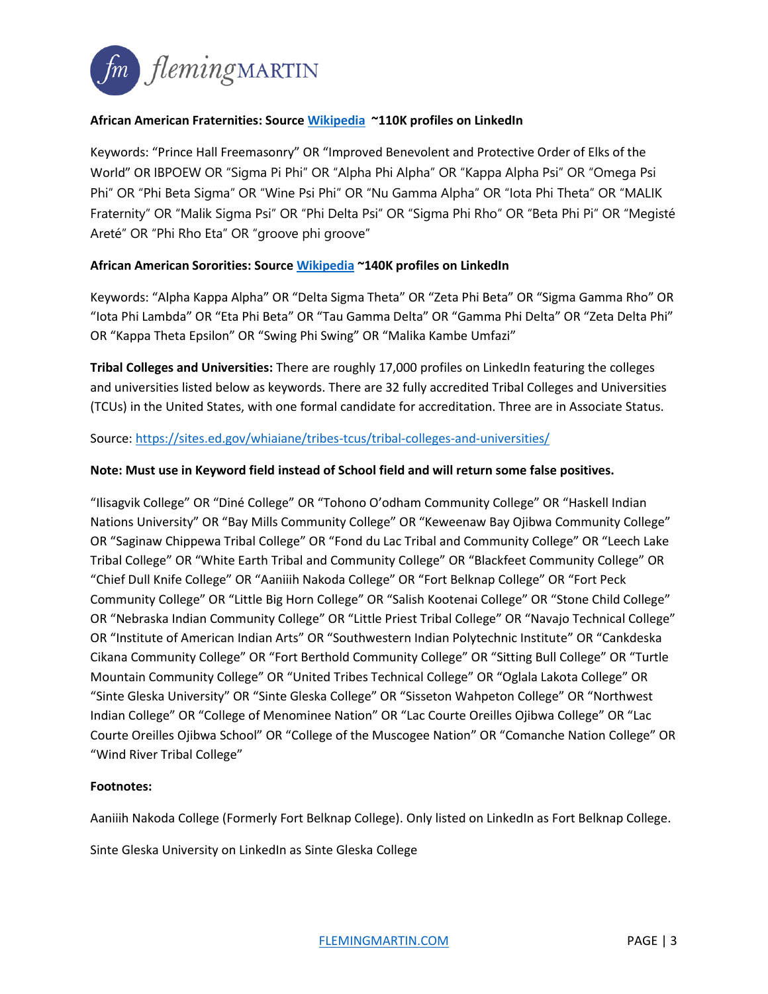

# **African American Fraternities: Source [Wikipedia](https://en.wikipedia.org/wiki/List_of_African-American_fraternities) ~110K profiles on LinkedIn**

Keywords: "Prince Hall Freemasonry" OR "Improved Benevolent and Protective Order of Elks of the World" OR IBPOEW OR "Sigma Pi Phi" OR "Alpha Phi Alpha" OR "Kappa Alpha Psi" OR "Omega Psi Phi" OR "Phi Beta Sigma" OR "Wine Psi Phi" OR "Nu Gamma Alpha" OR "Iota Phi Theta" OR "MALIK Fraternity" OR "Malik Sigma Psi" OR "Phi Delta Psi" OR "Sigma Phi Rho" OR "Beta Phi Pi" OR "Megisté Areté" OR "Phi Rho Eta" OR "groove phi groove"

# **African American Sororities: Sourc[e Wikipedia](https://en.wikipedia.org/wiki/List_of_African-American_fraternities) ~140K profiles on LinkedIn**

Keywords: "Alpha Kappa Alpha" OR "Delta Sigma Theta" OR "Zeta Phi Beta" OR "Sigma Gamma Rho" OR "Iota Phi Lambda" OR "Eta Phi Beta" OR "Tau Gamma Delta" OR "Gamma Phi Delta" OR "Zeta Delta Phi" OR "Kappa Theta Epsilon" OR "Swing Phi Swing" OR "Malika Kambe Umfazi"

**Tribal Colleges and Universities:** There are roughly 17,000 profiles on LinkedIn featuring the colleges and universities listed below as keywords. There are 32 fully accredited Tribal Colleges and Universities (TCUs) in the United States, with one formal candidate for accreditation. Three are in Associate Status.

Source:<https://sites.ed.gov/whiaiane/tribes-tcus/tribal-colleges-and-universities/>

### **Note: Must use in Keyword field instead of School field and will return some false positives.**

"Ilisagvik College" OR "Diné College" OR "Tohono O'odham Community College" OR "Haskell Indian Nations University" OR "Bay Mills Community College" OR "Keweenaw Bay Ojibwa Community College" OR "Saginaw Chippewa Tribal College" OR "Fond du Lac Tribal and Community College" OR "Leech Lake Tribal College" OR "White Earth Tribal and Community College" OR "Blackfeet Community College" OR "Chief Dull Knife College" OR "Aaniiih Nakoda College" OR "Fort Belknap College" OR "Fort Peck Community College" OR "Little Big Horn College" OR "Salish Kootenai College" OR "Stone Child College" OR "Nebraska Indian Community College" OR "Little Priest Tribal College" OR "Navajo Technical College" OR "Institute of American Indian Arts" OR "Southwestern Indian Polytechnic Institute" OR "Cankdeska Cikana Community College" OR "Fort Berthold Community College" OR "Sitting Bull College" OR "Turtle Mountain Community College" OR "United Tribes Technical College" OR "Oglala Lakota College" OR "Sinte Gleska University" OR "Sinte Gleska College" OR "Sisseton Wahpeton College" OR "Northwest Indian College" OR "College of Menominee Nation" OR "Lac Courte Oreilles Ojibwa College" OR "Lac Courte Oreilles Ojibwa School" OR "College of the Muscogee Nation" OR "Comanche Nation College" OR "Wind River Tribal College"

### **Footnotes:**

Aaniiih Nakoda College (Formerly Fort Belknap College). Only listed on LinkedIn as Fort Belknap College.

Sinte Gleska University on LinkedIn as Sinte Gleska College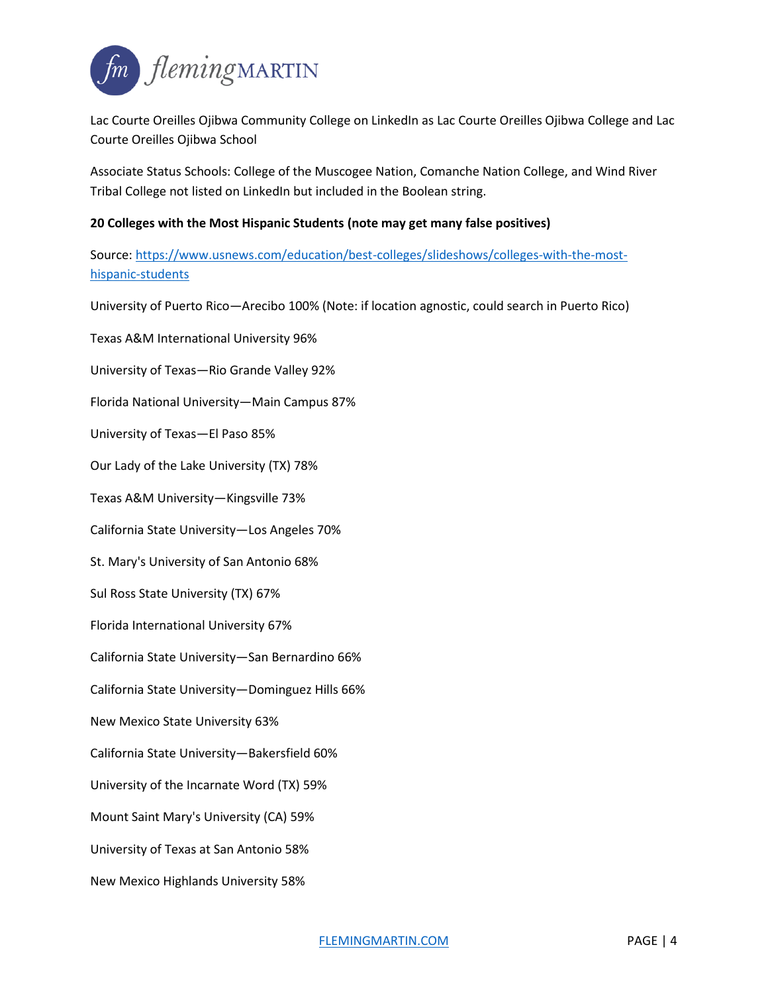

Lac Courte Oreilles Ojibwa Community College on LinkedIn as Lac Courte Oreilles Ojibwa College and Lac Courte Oreilles Ojibwa School

Associate Status Schools: College of the Muscogee Nation, Comanche Nation College, and Wind River Tribal College not listed on LinkedIn but included in the Boolean string.

### **20 Colleges with the Most Hispanic Students (note may get many false positives)**

Source: [https://www.usnews.com/education/best-colleges/slideshows/colleges-with-the-most](https://www.usnews.com/education/best-colleges/slideshows/colleges-with-the-most-hispanic-students)[hispanic-students](https://www.usnews.com/education/best-colleges/slideshows/colleges-with-the-most-hispanic-students)

University of Puerto Rico—Arecibo 100% (Note: if location agnostic, could search in Puerto Rico)

Texas A&M International University 96% University of Texas—Rio Grande Valley 92% Florida National University—Main Campus 87% University of Texas—El Paso 85% Our Lady of the Lake University (TX) 78% Texas A&M University—Kingsville 73% California State University—Los Angeles 70% St. Mary's University of San Antonio 68% Sul Ross State University (TX) 67% Florida International University 67% California State University—San Bernardino 66% California State University—Dominguez Hills 66% New Mexico State University 63% California State University—Bakersfield 60% University of the Incarnate Word (TX) 59% Mount Saint Mary's University (CA) 59% University of Texas at San Antonio 58% New Mexico Highlands University 58%